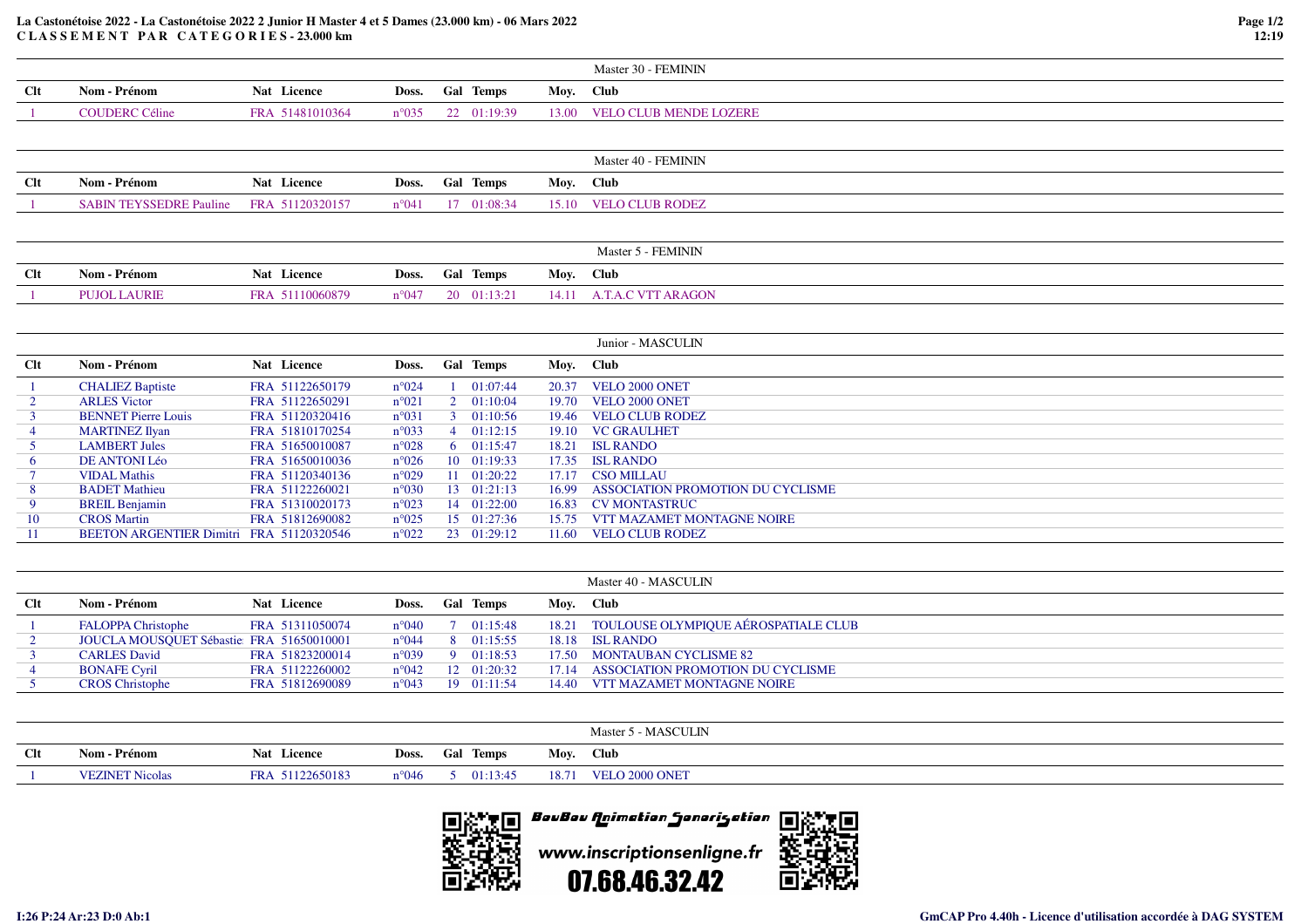## **La Castonétoise 2022 - La Castonétoise 2022 2 Junior H Master 4 et 5 Dames (23.000 km) - 06 Mars 2022C L A S S E M E N T P A R C A T E G O R I E S - 23.000 km**

|                |                                          |                 |                |                |             |           | Master 30 - FEMININ               |
|----------------|------------------------------------------|-----------------|----------------|----------------|-------------|-----------|-----------------------------------|
| <b>Clt</b>     | Nom - Prénom                             | Nat Licence     | Doss.          |                | Gal Temps   | Moy.      | <b>Club</b>                       |
|                | <b>COUDERC Céline</b>                    | FRA 51481010364 | $n^{\circ}035$ |                | 22 01:19:39 | 13.00     | <b>VELO CLUB MENDE LOZERE</b>     |
|                |                                          |                 |                |                |             |           |                                   |
|                |                                          |                 |                |                |             |           | Master 40 - FEMININ               |
|                |                                          |                 |                |                |             |           |                                   |
| <b>Clt</b>     | Nom - Prénom                             | Nat Licence     | Doss.          |                | Gal Temps   | Moy.      | <b>Club</b>                       |
|                | <b>SABIN TEYSSEDRE Pauline</b>           | FRA 51120320157 | $n^{\circ}041$ |                | 17 01:08:34 | 15.10     | <b>VELO CLUB RODEZ</b>            |
|                |                                          |                 |                |                |             |           |                                   |
|                |                                          |                 |                |                |             |           | Master 5 - FEMININ                |
|                |                                          |                 |                |                |             |           |                                   |
| <b>Clt</b>     | Nom - Prénom                             | Nat Licence     | Doss.          |                | Gal Temps   | Moy. Club |                                   |
| $\mathbf{1}$   | <b>PUJOL LAURIE</b>                      | FRA 51110060879 | $n^{\circ}047$ |                | 20 01:13:21 | 14.11     | <b>A.T.A.C VTT ARAGON</b>         |
|                |                                          |                 |                |                |             |           |                                   |
|                |                                          |                 |                |                |             |           | Junior - MASCULIN                 |
|                |                                          |                 |                |                |             |           |                                   |
| Clt            | Nom - Prénom                             | Nat Licence     | Doss.          |                | Gal Temps   | Moy.      | <b>Club</b>                       |
|                | <b>CHALIEZ Baptiste</b>                  | FRA 51122650179 | $n^{\circ}024$ |                | 01:07:44    | 20.37     | VELO 2000 ONET                    |
| $\overline{2}$ | <b>ARLES Victor</b>                      | FRA 51122650291 | $n^{\circ}021$ | $\overline{2}$ | 01:10:04    | 19.70     | VELO 2000 ONET                    |
| $\mathbf{3}$   | <b>BENNET Pierre Louis</b>               | FRA 51120320416 | n°031          | 3              | 01:10:56    | 19.46     | <b>VELO CLUB RODEZ</b>            |
| $\overline{4}$ | <b>MARTINEZ Ilyan</b>                    | FRA 51810170254 | $n^{\circ}033$ | $\overline{4}$ | 01:12:15    | 19.10     | <b>VC GRAULHET</b>                |
| 5              | <b>LAMBERT Jules</b>                     | FRA 51650010087 | $n^{\circ}028$ | 6              | 01:15:47    | 18.21     | <b>ISL RANDO</b>                  |
| 6              | <b>DE ANTONI Léo</b>                     | FRA 51650010036 | $n^{\circ}026$ | 10             | 01:19:33    | 17.35     | <b>ISL RANDO</b>                  |
|                | <b>VIDAL Mathis</b>                      | FRA 51120340136 | $n^{\circ}029$ | 11             | 01:20:22    | 17.17     | <b>CSO MILLAU</b>                 |
| 8              | <b>BADET</b> Mathieu                     | FRA 51122260021 | $n^{\circ}030$ | 13             | 01:21:13    | 16.99     | ASSOCIATION PROMOTION DU CYCLISME |
| 9              | <b>BREIL Benjamin</b>                    | FRA 51310020173 | $n^{\circ}023$ | 14             | 01:22:00    | 16.83     | <b>CV MONTASTRUC</b>              |
| 10             | <b>CROS</b> Martin                       | FRA 51812690082 | $n^{\circ}025$ |                | 15 01:27:36 | 15.75     | VTT MAZAMET MONTAGNE NOIRE        |
| 11             | BEETON ARGENTIER Dimitri FRA 51120320546 |                 | $n^{\circ}022$ | 23             | 01:29:12    | 11.60     | <b>VELO CLUB RODEZ</b>            |
|                |                                          |                 |                |                |             |           |                                   |
|                |                                          |                 |                |                |             |           | Master 40 - MASCULIN              |
| <b>Clt</b>     | Nom - Prénom                             | Nat Licence     | Doss.          |                | Gal Temps   | Mov. Club |                                   |

| ◡ﯩ | 1908 - 1919 - 192                         | rai Liittiit    | LU33. | - van - numpo              | 11101 | - UNU                                      |
|----|-------------------------------------------|-----------------|-------|----------------------------|-------|--------------------------------------------|
|    | <b>FALOPPA Christophe</b>                 | FRA 51311050074 |       | $n^{\circ}040$ 7 01:15:48  |       | 18.21 TOULOUSE OLYMPIQUE AÉROSPATIALE CLUB |
|    | JOUCLA MOUSQUET Sébastie: FRA 51650010001 |                 |       | $n^{\circ}044$ 8 01:15:55  |       | 18.18 ISL RANDO                            |
|    | <b>CARLES</b> David                       | FRA 51823200014 |       | $n^{\circ}039$ 9 01:18:53  |       | 17.50 MONTAUBAN CYCLISME 82                |
|    | <b>BONAFE Cyril</b>                       | FRA 51122260002 |       | $n^{\circ}042$ 12 01:20:32 |       | 17.14 ASSOCIATION PROMOTION DU CYCLISME    |
|    | <b>CROS</b> Christophe                    | FRA 51812690089 |       | $n^{\circ}043$ 19 01:11:54 |       | 14.40 VTT MAZAMET MONTAGNE NOIRE           |
|    |                                           |                 |       |                            |       |                                            |

|        |                        |                 |                 |                  |       | Master 5 - MASCULIN |
|--------|------------------------|-----------------|-----------------|------------------|-------|---------------------|
| $Cl$ t | Prénom<br>Nom -        | Nat Licence     | Doss.           | <b>Gal Temps</b> | Mov.  | Club                |
|        | <b>VEZINET Nicolas</b> | FRA 51122650183 | $n^{\circ}$ 046 | 01:13:45         | 18.71 | VELO 2000 ONET      |